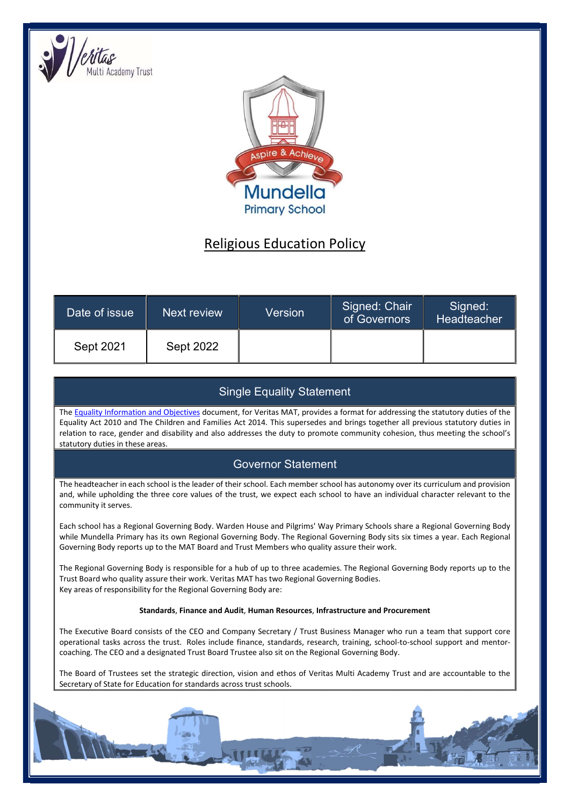



# Religious Education Policy

| Date of issue | Next review      | Version | Signed: Chair<br>of Governors | Signed:<br>Headteacher |
|---------------|------------------|---------|-------------------------------|------------------------|
| Sept 2021     | <b>Sept 2022</b> |         |                               |                        |

# Single Equality Statement

The Equality Information and Objectives document, for Veritas MAT, provides a format for addressing the statutory duties of the Equality Act 2010 and The Children and Families Act 2014. This supersedes and brings together all previous statutory duties in relation to race, gender and disability and also addresses the duty to promote community cohesion, thus meeting the school's statutory duties in these areas.

# Governor Statement

The headteacher in each school is the leader of their school. Each member school has autonomy over its curriculum and provision and, while upholding the three core values of the trust, we expect each school to have an individual character relevant to the community it serves.

Each school has a Regional Governing Body. Warden House and Pilgrims' Way Primary Schools share a Regional Governing Body while Mundella Primary has its own Regional Governing Body. The Regional Governing Body sits six times a year. Each Regional Governing Body reports up to the MAT Board and Trust Members who quality assure their work.

The Regional Governing Body is responsible for a hub of up to three academies. The Regional Governing Body reports up to the Trust Board who quality assure their work. Veritas MAT has two Regional Governing Bodies. Key areas of responsibility for the Regional Governing Body are:

#### Standards, Finance and Audit, Human Resources, Infrastructure and Procurement

The Executive Board consists of the CEO and Company Secretary / Trust Business Manager who run a team that support core operational tasks across the trust. Roles include finance, standards, research, training, school-to-school support and mentorcoaching. The CEO and a designated Trust Board Trustee also sit on the Regional Governing Body.

The Board of Trustees set the strategic direction, vision and ethos of Veritas Multi Academy Trust and are accountable to the Secretary of State for Education for standards across trust schools.

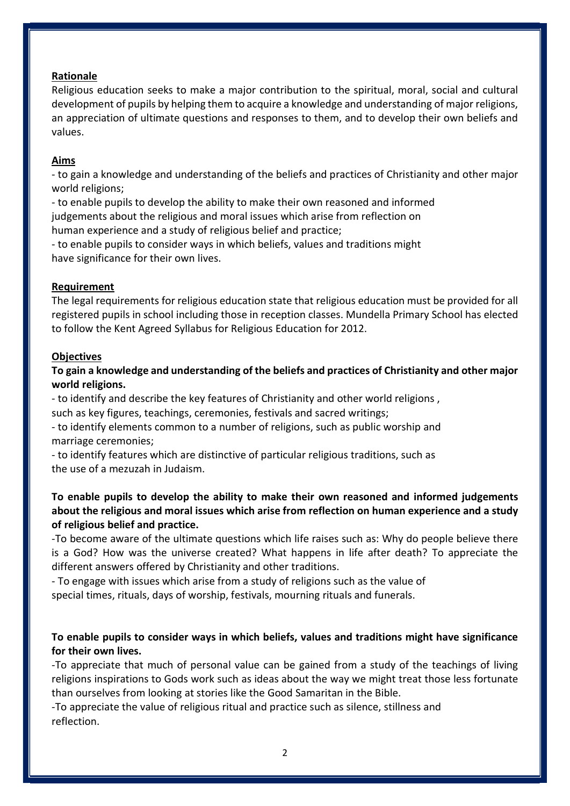## Rationale

Religious education seeks to make a major contribution to the spiritual, moral, social and cultural development of pupils by helping them to acquire a knowledge and understanding of major religions, an appreciation of ultimate questions and responses to them, and to develop their own beliefs and values.

## Aims

- to gain a knowledge and understanding of the beliefs and practices of Christianity and other major world religions;

- to enable pupils to develop the ability to make their own reasoned and informed judgements about the religious and moral issues which arise from reflection on human experience and a study of religious belief and practice;

- to enable pupils to consider ways in which beliefs, values and traditions might have significance for their own lives.

## Requirement

The legal requirements for religious education state that religious education must be provided for all registered pupils in school including those in reception classes. Mundella Primary School has elected to follow the Kent Agreed Syllabus for Religious Education for 2012.

#### **Objectives**

## To gain a knowledge and understanding of the beliefs and practices of Christianity and other major world religions.

- to identify and describe the key features of Christianity and other world religions ,

such as key figures, teachings, ceremonies, festivals and sacred writings;

- to identify elements common to a number of religions, such as public worship and marriage ceremonies;

- to identify features which are distinctive of particular religious traditions, such as the use of a mezuzah in Judaism.

## To enable pupils to develop the ability to make their own reasoned and informed judgements about the religious and moral issues which arise from reflection on human experience and a study of religious belief and practice.

-To become aware of the ultimate questions which life raises such as: Why do people believe there is a God? How was the universe created? What happens in life after death? To appreciate the different answers offered by Christianity and other traditions.

- To engage with issues which arise from a study of religions such as the value of special times, rituals, days of worship, festivals, mourning rituals and funerals.

## To enable pupils to consider ways in which beliefs, values and traditions might have significance for their own lives.

-To appreciate that much of personal value can be gained from a study of the teachings of living religions inspirations to Gods work such as ideas about the way we might treat those less fortunate than ourselves from looking at stories like the Good Samaritan in the Bible.

-To appreciate the value of religious ritual and practice such as silence, stillness and reflection.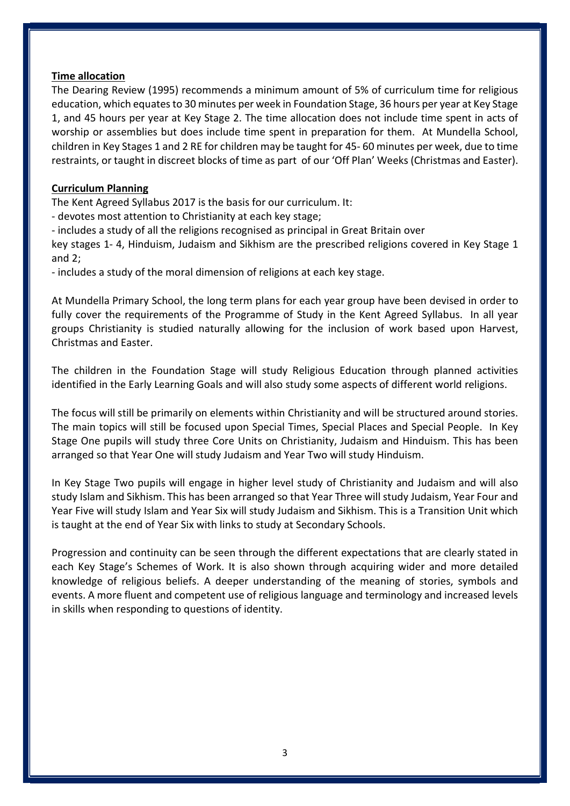#### Time allocation

The Dearing Review (1995) recommends a minimum amount of 5% of curriculum time for religious education, which equates to 30 minutes per week in Foundation Stage, 36 hours per year at Key Stage 1, and 45 hours per year at Key Stage 2. The time allocation does not include time spent in acts of worship or assemblies but does include time spent in preparation for them. At Mundella School, children in Key Stages 1 and 2 RE for children may be taught for 45- 60 minutes per week, due to time restraints, or taught in discreet blocks of time as part of our 'Off Plan' Weeks (Christmas and Easter).

#### Curriculum Planning

The Kent Agreed Syllabus 2017 is the basis for our curriculum. It:

- devotes most attention to Christianity at each key stage;

- includes a study of all the religions recognised as principal in Great Britain over

key stages 1- 4, Hinduism, Judaism and Sikhism are the prescribed religions covered in Key Stage 1 and 2;

- includes a study of the moral dimension of religions at each key stage.

At Mundella Primary School, the long term plans for each year group have been devised in order to fully cover the requirements of the Programme of Study in the Kent Agreed Syllabus. In all year groups Christianity is studied naturally allowing for the inclusion of work based upon Harvest, Christmas and Easter.

The children in the Foundation Stage will study Religious Education through planned activities identified in the Early Learning Goals and will also study some aspects of different world religions.

The focus will still be primarily on elements within Christianity and will be structured around stories. The main topics will still be focused upon Special Times, Special Places and Special People. In Key Stage One pupils will study three Core Units on Christianity, Judaism and Hinduism. This has been arranged so that Year One will study Judaism and Year Two will study Hinduism.

In Key Stage Two pupils will engage in higher level study of Christianity and Judaism and will also study Islam and Sikhism. This has been arranged so that Year Three will study Judaism, Year Four and Year Five will study Islam and Year Six will study Judaism and Sikhism. This is a Transition Unit which is taught at the end of Year Six with links to study at Secondary Schools.

Progression and continuity can be seen through the different expectations that are clearly stated in each Key Stage's Schemes of Work. It is also shown through acquiring wider and more detailed knowledge of religious beliefs. A deeper understanding of the meaning of stories, symbols and events. A more fluent and competent use of religious language and terminology and increased levels in skills when responding to questions of identity.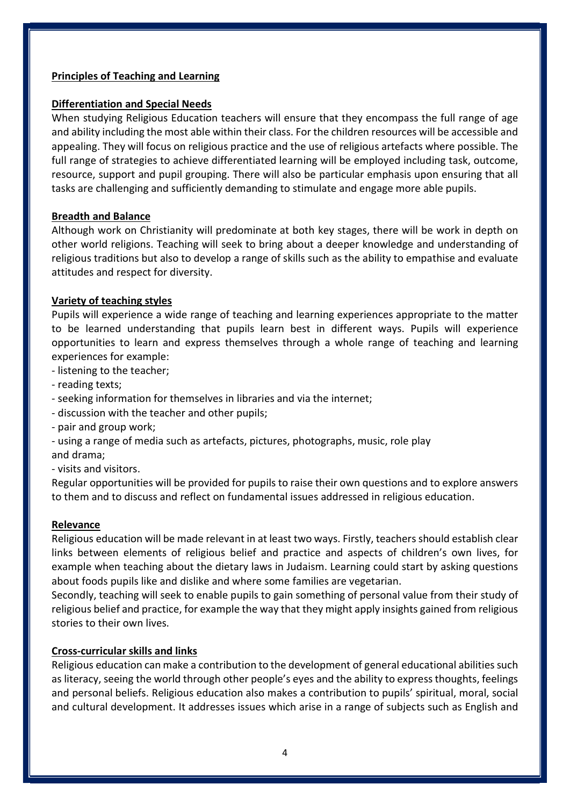## Principles of Teaching and Learning

## Differentiation and Special Needs

When studying Religious Education teachers will ensure that they encompass the full range of age and ability including the most able within their class. For the children resources will be accessible and appealing. They will focus on religious practice and the use of religious artefacts where possible. The full range of strategies to achieve differentiated learning will be employed including task, outcome, resource, support and pupil grouping. There will also be particular emphasis upon ensuring that all tasks are challenging and sufficiently demanding to stimulate and engage more able pupils.

## Breadth and Balance

Although work on Christianity will predominate at both key stages, there will be work in depth on other world religions. Teaching will seek to bring about a deeper knowledge and understanding of religious traditions but also to develop a range of skills such as the ability to empathise and evaluate attitudes and respect for diversity.

## Variety of teaching styles

Pupils will experience a wide range of teaching and learning experiences appropriate to the matter to be learned understanding that pupils learn best in different ways. Pupils will experience opportunities to learn and express themselves through a whole range of teaching and learning experiences for example:

- listening to the teacher;

- reading texts;
- seeking information for themselves in libraries and via the internet;
- discussion with the teacher and other pupils;
- pair and group work;
- using a range of media such as artefacts, pictures, photographs, music, role play and drama;

- visits and visitors.

Regular opportunities will be provided for pupils to raise their own questions and to explore answers to them and to discuss and reflect on fundamental issues addressed in religious education.

## Relevance

Religious education will be made relevant in at least two ways. Firstly, teachers should establish clear links between elements of religious belief and practice and aspects of children's own lives, for example when teaching about the dietary laws in Judaism. Learning could start by asking questions about foods pupils like and dislike and where some families are vegetarian.

Secondly, teaching will seek to enable pupils to gain something of personal value from their study of religious belief and practice, for example the way that they might apply insights gained from religious stories to their own lives.

## Cross-curricular skills and links

Religious education can make a contribution to the development of general educational abilities such as literacy, seeing the world through other people's eyes and the ability to express thoughts, feelings and personal beliefs. Religious education also makes a contribution to pupils' spiritual, moral, social and cultural development. It addresses issues which arise in a range of subjects such as English and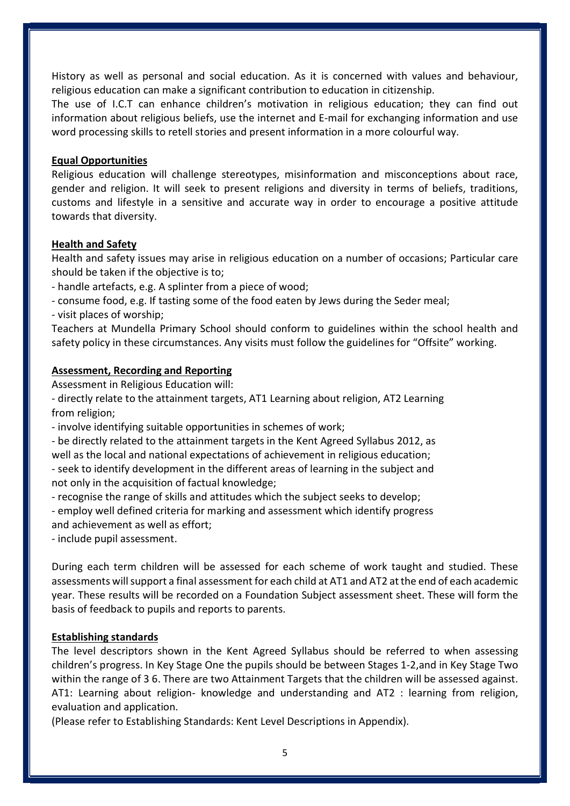History as well as personal and social education. As it is concerned with values and behaviour, religious education can make a significant contribution to education in citizenship.

The use of I.C.T can enhance children's motivation in religious education; they can find out information about religious beliefs, use the internet and E-mail for exchanging information and use word processing skills to retell stories and present information in a more colourful way.

#### Equal Opportunities

Religious education will challenge stereotypes, misinformation and misconceptions about race, gender and religion. It will seek to present religions and diversity in terms of beliefs, traditions, customs and lifestyle in a sensitive and accurate way in order to encourage a positive attitude towards that diversity.

#### Health and Safety

Health and safety issues may arise in religious education on a number of occasions; Particular care should be taken if the objective is to;

- handle artefacts, e.g. A splinter from a piece of wood;

- consume food, e.g. If tasting some of the food eaten by Jews during the Seder meal;

- visit places of worship;

Teachers at Mundella Primary School should conform to guidelines within the school health and safety policy in these circumstances. Any visits must follow the guidelines for "Offsite" working.

#### Assessment, Recording and Reporting

Assessment in Religious Education will:

- directly relate to the attainment targets, AT1 Learning about religion, AT2 Learning from religion;

- involve identifying suitable opportunities in schemes of work;

- be directly related to the attainment targets in the Kent Agreed Syllabus 2012, as well as the local and national expectations of achievement in religious education; - seek to identify development in the different areas of learning in the subject and not only in the acquisition of factual knowledge;

- recognise the range of skills and attitudes which the subject seeks to develop;

- employ well defined criteria for marking and assessment which identify progress and achievement as well as effort;

- include pupil assessment.

During each term children will be assessed for each scheme of work taught and studied. These assessments will support a final assessment for each child at AT1 and AT2 at the end of each academic year. These results will be recorded on a Foundation Subject assessment sheet. These will form the basis of feedback to pupils and reports to parents.

## Establishing standards

The level descriptors shown in the Kent Agreed Syllabus should be referred to when assessing children's progress. In Key Stage One the pupils should be between Stages 1-2,and in Key Stage Two within the range of 3 6. There are two Attainment Targets that the children will be assessed against. AT1: Learning about religion- knowledge and understanding and AT2 : learning from religion, evaluation and application.

(Please refer to Establishing Standards: Kent Level Descriptions in Appendix).